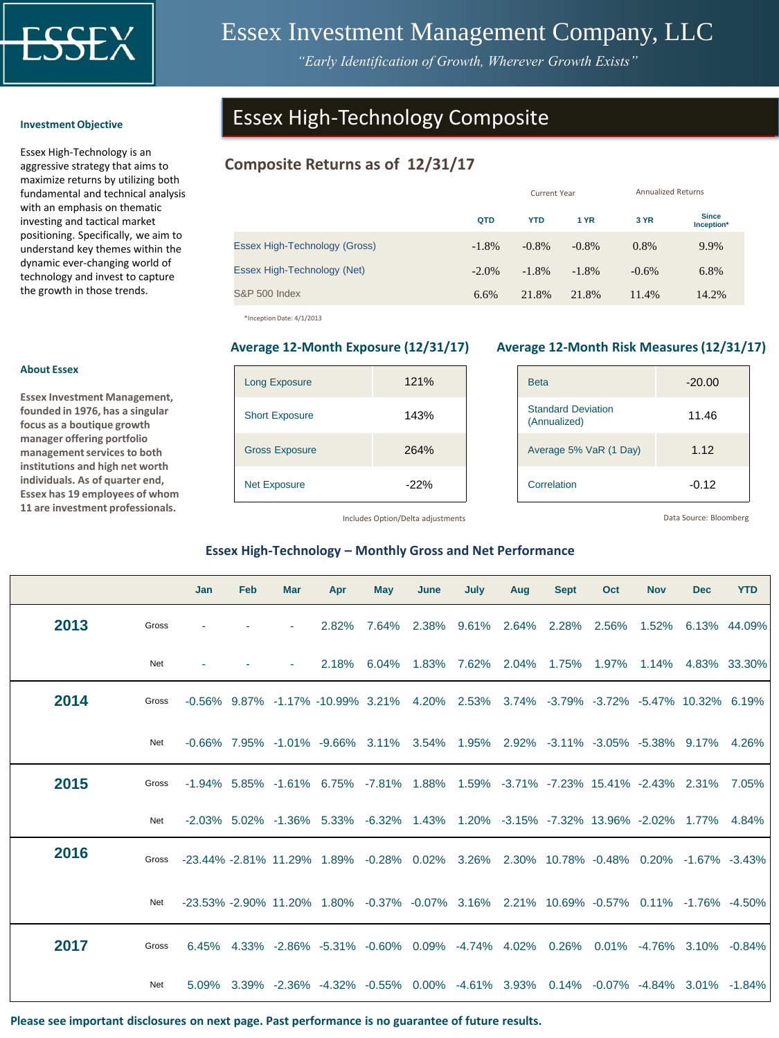

# Essex Investment Management Company, LLC

*"Early Identification of Growth, Wherever Growth Exists"*

#### **Investment Objective**

Essex High-Technology is an aggressive strategy that aims to maximize returns by utilizing both fundamental and technical analysis with an emphasis on thematic investing and tactical market positioning. Specifically, we aim to understand key themes within the dynamic ever-changing world of technology and invest to capture the growth in those trends.

# Essex High-Technology Composite

# **Composite Returns as of 12/31/17**

|                               |          | <b>Current Year</b> | <b>Annualized Returns</b> |          |                            |
|-------------------------------|----------|---------------------|---------------------------|----------|----------------------------|
|                               | QTD      | <b>YTD</b>          | <b>1 YR</b>               | 3 YR     | <b>Since</b><br>Inception* |
| Essex High-Technology (Gross) | $-1.8%$  | $-0.8\%$            | $-0.8%$                   | 0.8%     | 9.9%                       |
| Essex High-Technology (Net)   | $-2.0\%$ | $-1.8%$             | $-1.8%$                   | $-0.6\%$ | 6.8%                       |
| <b>S&amp;P 500 Index</b>      | 6.6%     | 21.8%               | 21.8%                     | 11.4%    | 14.2%                      |

\*Inception Date: 4/1/2013

| <b>Long Exposure</b>  | 121%   |
|-----------------------|--------|
| <b>Short Exposure</b> | 143%   |
| <b>Gross Exposure</b> | 264%   |
| <b>Net Exposure</b>   | $-22%$ |

### **Average 12-Month Exposure (12/31/17) Average 12-Month Risk Measures (12/31/17)**

| <b>Beta</b>                               | $-20.00$ |
|-------------------------------------------|----------|
| <b>Standard Deviation</b><br>(Annualized) | 11.46    |
| Average 5% VaR (1 Day)                    | 1.12     |
| Correlation                               | $-0.12$  |

Includes Option/Delta adjustments

Data Source: Bloomberg

### **Essex High-Technology – Monthly Gross and Net Performance**

|      |       | <b>Jan</b>                                                                                   | Feb | <b>Mar</b> | Apr                                                                                                          | <b>May</b> | June | July | Aug | <b>Sept</b> | Oct                                                          | <b>Nov</b> | <b>Dec</b> | <b>YTD</b> |
|------|-------|----------------------------------------------------------------------------------------------|-----|------------|--------------------------------------------------------------------------------------------------------------|------------|------|------|-----|-------------|--------------------------------------------------------------|------------|------------|------------|
| 2013 | Gross |                                                                                              |     |            | $2.82\%$                                                                                                     |            |      |      |     |             | 7.64% 2.38% 9.61% 2.64% 2.28% 2.56% 1.52% 6.13% 44.09%       |            |            |            |
|      | Net   |                                                                                              |     |            |                                                                                                              |            |      |      |     |             | 2.18% 6.04% 1.83% 7.62% 2.04% 1.75% 1.97% 1.14% 4.83% 33.30% |            |            |            |
| 2014 | Gross |                                                                                              |     |            | $-0.56\%$ 9.87% $-1.17\%$ $-10.99\%$ 3.21% 4.20% 2.53% 3.74% $-3.79\%$ $-3.72\%$ $-5.47\%$ 10.32% 6.19%      |            |      |      |     |             |                                                              |            |            |            |
|      | Net   |                                                                                              |     |            | $-0.66\%$ 7.95% $-1.01\%$ $-9.66\%$ 3.11% 3.54% 1.95% 2.92% $-3.11\%$ $-3.05\%$ $-5.38\%$ 9.17% 4.26%        |            |      |      |     |             |                                                              |            |            |            |
| 2015 | Gross |                                                                                              |     |            | $-1.94\%$ 5.85% $-1.61\%$ 6.75% $-7.81\%$ 1.88% 1.59% $-3.71\%$ $-7.23\%$ 15.41% $-2.43\%$ 2.31% 7.05%       |            |      |      |     |             |                                                              |            |            |            |
|      | Net   |                                                                                              |     |            | -2.03% 5.02% -1.36% 5.33% -6.32% 1.43% 1.20% -3.15% -7.32% 13.96% -2.02% 1.77% 4.84%                         |            |      |      |     |             |                                                              |            |            |            |
| 2016 |       | Gross -23.44% -2.81% 11.29% 1.89% -0.28% 0.02% 3.26% 2.30% 10.78% -0.48% 0.20% -1.67% -3.43% |     |            |                                                                                                              |            |      |      |     |             |                                                              |            |            |            |
|      | Net   |                                                                                              |     |            | $-23.53\%$ $-2.90\%$ 11.20% 1.80% $-0.37\%$ $-0.07\%$ 3.16% 2.21% 10.69% $-0.57\%$ 0.11% $-1.76\%$ $-4.50\%$ |            |      |      |     |             |                                                              |            |            |            |
| 2017 | Gross |                                                                                              |     |            | 6.45% 4.33% -2.86% -5.31% -0.60% 0.09% -4.74% 4.02% 0.26% 0.01% -4.76% 3.10% -0.84%                          |            |      |      |     |             |                                                              |            |            |            |
|      | Net   |                                                                                              |     |            | 5.09% 3.39% -2.36% -4.32% -0.55% 0.00% -4.61% 3.93% 0.14% -0.07% -4.84% 3.01% -1.84%                         |            |      |      |     |             |                                                              |            |            |            |

### **Please see important disclosures on next page. Past performance is no guarantee of future results.**

### **About Essex**

**Essex Investment Management, founded in 1976, has a singular focus as a boutique growth manager offering portfolio management services to both institutions and high net worth individuals. As of quarter end, Essex has 19 employees of whom 11 are investment professionals.**